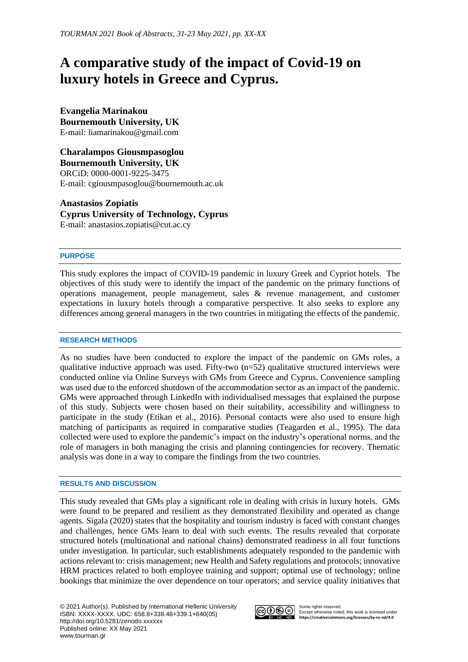# **A comparative study of the impact of Covid-19 on luxury hotels in Greece and Cyprus.**

**Evangelia Marinakou Bournemouth University, UK** E-mail: liamarinakou@gmail.com

**Charalampos Giousmpasoglou Bournemouth University, UK**  ORCiD: 0000-0001-9225-3475 E-mail: cgiousmpasoglou@bournemouth.ac.uk

**Anastasios Zopiatis Cyprus University of Technology, Cyprus**  E-mail: anastasios.zopiatis@cut.ac.cy

## **PURPOSE**

This study explores the impact of COVID-19 pandemic in luxury Greek and Cypriot hotels. The objectives of this study were to identify the impact of the pandemic on the primary functions of operations management, people management, sales & revenue management, and customer expectations in luxury hotels through a comparative perspective. It also seeks to explore any differences among general managers in the two countries in mitigating the effects of the pandemic.

## **RESEARCH METHODS**

As no studies have been conducted to explore the impact of the pandemic on GMs roles, a qualitative inductive approach was used. Fifty-two  $(n=52)$  qualitative structured interviews were conducted online via Online Surveys with GMs from Greece and Cyprus. Convenience sampling was used due to the enforced shutdown of the accommodation sector as an impact of the pandemic. GMs were approached through LinkedIn with individualised messages that explained the purpose of this study. Subjects were chosen based on their suitability, accessibility and willingness to participate in the study (Etikan et al., 2016). Personal contacts were also used to ensure high matching of participants as required in comparative studies (Teagarden et al., 1995). The data collected were used to explore the pandemic's impact on the industry's operational norms, and the role of managers in both managing the crisis and planning contingencies for recovery. Thematic analysis was done in a way to compare the findings from the two countries.

## **RESULTS AND DISCUSSION**

This study revealed that GMs play a significant role in dealing with crisis in luxury hotels. GMs were found to be prepared and resilient as they demonstrated flexibility and operated as change agents. Sigala (2020) states that the hospitality and tourism industry is faced with constant changes and challenges, hence GMs learn to deal with such events. The results revealed that corporate structured hotels (multinational and national chains) demonstrated readiness in all four functions under investigation. In particular, such establishments adequately responded to the pandemic with actions relevant to: crisis management; new Health and Safety regulations and protocols; innovative HRM practices related to both employee training and support; optimal use of technology; online bookings that minimize the over dependence on tour operators; and service quality initiatives that



Some rights reserved. Except otherwise noted, this work is licensed under **<https://creativecommons.org/licenses/by-nc-nd/4.0>**